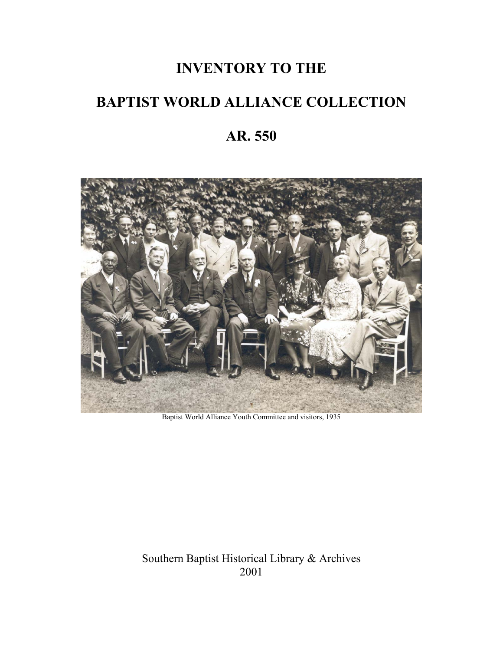# **INVENTORY TO THE**

## **BAPTIST WORLD ALLIANCE COLLECTION**

## **AR. 550**



Baptist World Alliance Youth Committee and visitors, 1935

Southern Baptist Historical Library & Archives 2001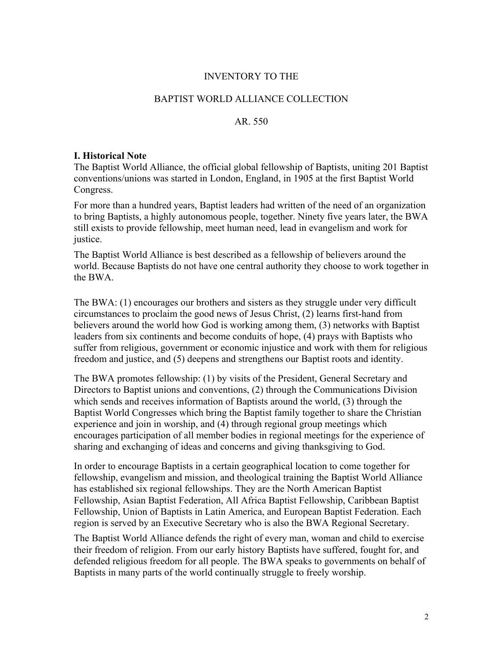#### INVENTORY TO THE

### BAPTIST WORLD ALLIANCE COLLECTION

### AR. 550

#### **I. Historical Note**

The Baptist World Alliance, the official global fellowship of Baptists, uniting 201 Baptist conventions/unions was started in London, England, in 1905 at the first Baptist World Congress.

For more than a hundred years, Baptist leaders had written of the need of an organization to bring Baptists, a highly autonomous people, together. Ninety five years later, the BWA still exists to provide fellowship, meet human need, lead in evangelism and work for justice.

The Baptist World Alliance is best described as a fellowship of believers around the world. Because Baptists do not have one central authority they choose to work together in the BWA.

The BWA: (1) encourages our brothers and sisters as they struggle under very difficult circumstances to proclaim the good news of Jesus Christ, (2) learns first-hand from believers around the world how God is working among them, (3) networks with Baptist leaders from six continents and become conduits of hope, (4) prays with Baptists who suffer from religious, government or economic injustice and work with them for religious freedom and justice, and (5) deepens and strengthens our Baptist roots and identity.

The BWA promotes fellowship: (1) by visits of the President, General Secretary and Directors to Baptist unions and conventions, (2) through the Communications Division which sends and receives information of Baptists around the world, (3) through the Baptist World Congresses which bring the Baptist family together to share the Christian experience and join in worship, and (4) through regional group meetings which encourages participation of all member bodies in regional meetings for the experience of sharing and exchanging of ideas and concerns and giving thanksgiving to God.

In order to encourage Baptists in a certain geographical location to come together for fellowship, evangelism and mission, and theological training the Baptist World Alliance has established six regional fellowships. They are the North American Baptist Fellowship, Asian Baptist Federation, All Africa Baptist Fellowship, Caribbean Baptist Fellowship, Union of Baptists in Latin America, and European Baptist Federation. Each region is served by an Executive Secretary who is also the BWA Regional Secretary.

The Baptist World Alliance defends the right of every man, woman and child to exercise their freedom of religion. From our early history Baptists have suffered, fought for, and defended religious freedom for all people. The BWA speaks to governments on behalf of Baptists in many parts of the world continually struggle to freely worship.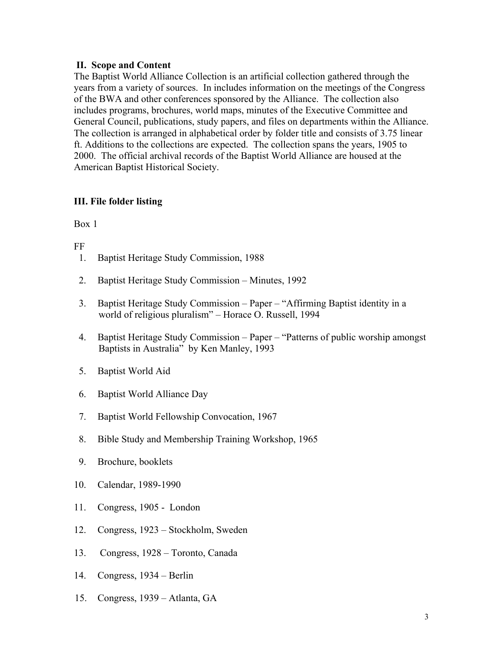### **II. Scope and Content**

The Baptist World Alliance Collection is an artificial collection gathered through the years from a variety of sources. In includes information on the meetings of the Congress of the BWA and other conferences sponsored by the Alliance. The collection also includes programs, brochures, world maps, minutes of the Executive Committee and General Council, publications, study papers, and files on departments within the Alliance. The collection is arranged in alphabetical order by folder title and consists of 3.75 linear ft. Additions to the collections are expected. The collection spans the years, 1905 to 2000. The official archival records of the Baptist World Alliance are housed at the American Baptist Historical Society.

## **III. File folder listing**

Box 1

FF

- 1. Baptist Heritage Study Commission, 1988
- 2. Baptist Heritage Study Commission Minutes, 1992
- 3. Baptist Heritage Study Commission Paper "Affirming Baptist identity in a world of religious pluralism" – Horace O. Russell, 1994
- 4. Baptist Heritage Study Commission Paper "Patterns of public worship amongst Baptists in Australia" by Ken Manley, 1993
- 5. Baptist World Aid
- 6. Baptist World Alliance Day
- 7. Baptist World Fellowship Convocation, 1967
- 8. Bible Study and Membership Training Workshop, 1965
- 9. Brochure, booklets
- 10. Calendar, 1989-1990
- 11. Congress, 1905 London
- 12. Congress, 1923 Stockholm, Sweden
- 13. Congress, 1928 Toronto, Canada
- 14. Congress, 1934 Berlin
- 15. Congress, 1939 Atlanta, GA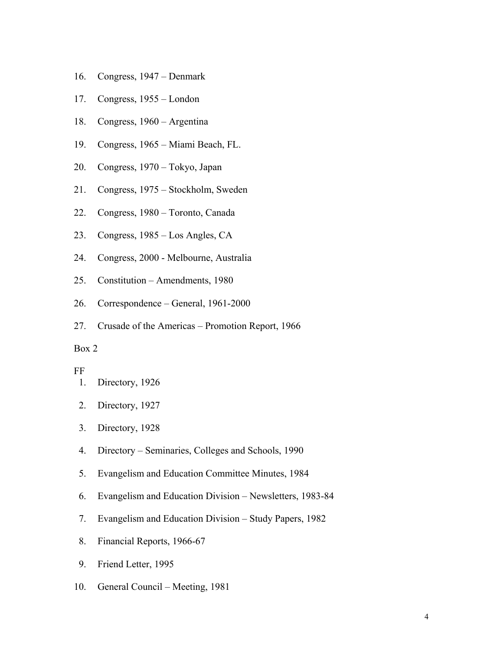- 16. Congress, 1947 Denmark
- 17. Congress, 1955 London
- 18. Congress, 1960 Argentina
- 19. Congress, 1965 Miami Beach, FL.
- 20. Congress, 1970 Tokyo, Japan
- 21. Congress, 1975 Stockholm, Sweden
- 22. Congress, 1980 Toronto, Canada
- 23. Congress, 1985 Los Angles, CA
- 24. Congress, 2000 Melbourne, Australia
- 25. Constitution Amendments, 1980
- 26. Correspondence General, 1961-2000
- 27. Crusade of the Americas Promotion Report, 1966

### Box 2

#### FF

- 1. Directory, 1926
- 2. Directory, 1927
- 3. Directory, 1928
- 4. Directory Seminaries, Colleges and Schools, 1990
- 5. Evangelism and Education Committee Minutes, 1984
- 6. Evangelism and Education Division Newsletters, 1983-84
- 7. Evangelism and Education Division Study Papers, 1982
- 8. Financial Reports, 1966-67
- 9. Friend Letter, 1995
- 10. General Council Meeting, 1981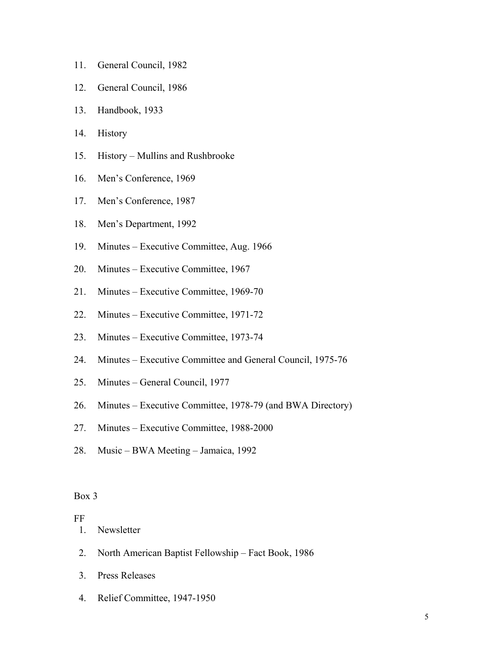- 11. General Council, 1982
- 12. General Council, 1986
- 13. Handbook, 1933
- 14. History
- 15. History Mullins and Rushbrooke
- 16. Men's Conference, 1969
- 17. Men's Conference, 1987
- 18. Men's Department, 1992
- 19. Minutes Executive Committee, Aug. 1966
- 20. Minutes Executive Committee, 1967
- 21. Minutes Executive Committee, 1969-70
- 22. Minutes Executive Committee, 1971-72
- 23. Minutes Executive Committee, 1973-74
- 24. Minutes Executive Committee and General Council, 1975-76
- 25. Minutes General Council, 1977
- 26. Minutes Executive Committee, 1978-79 (and BWA Directory)
- 27. Minutes Executive Committee, 1988-2000
- 28. Music BWA Meeting Jamaica, 1992

#### Box 3

#### FF

1. Newsletter

- 2. North American Baptist Fellowship Fact Book, 1986
- 3. Press Releases
- 4. Relief Committee, 1947-1950